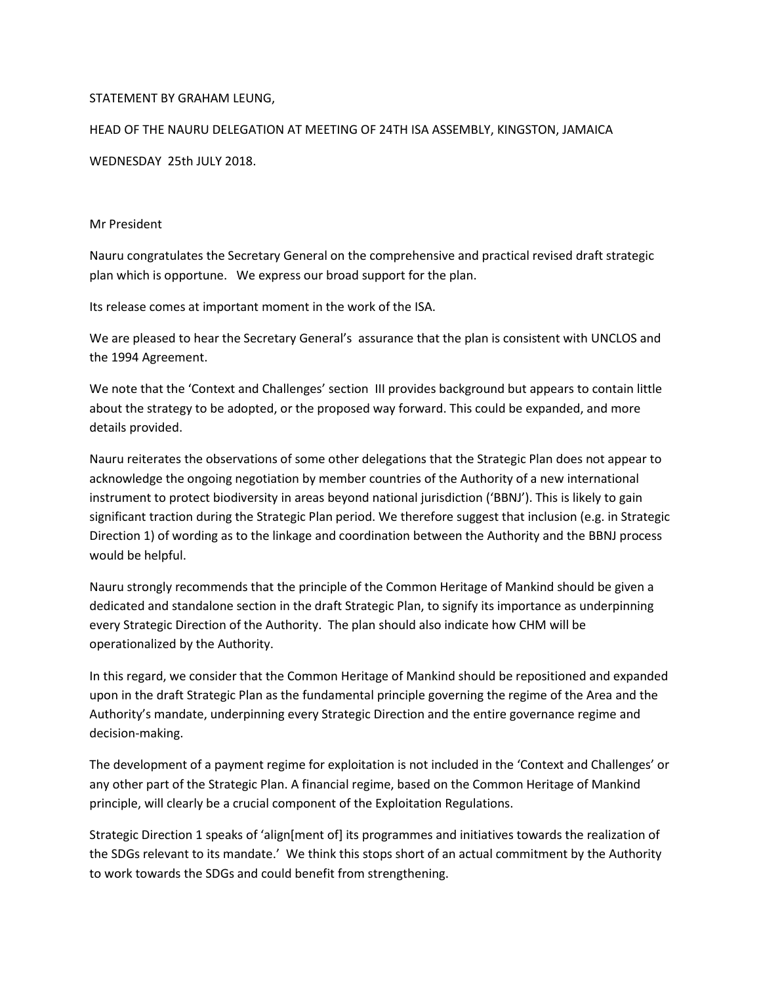## STATEMENT BY GRAHAM LEUNG,

## HEAD OF THE NAURU DELEGATION AT MEETING OF 24TH ISA ASSEMBLY, KINGSTON, JAMAICA WEDNESDAY 25th JULY 2018.

## Mr President

Nauru congratulates the Secretary General on the comprehensive and practical revised draft strategic plan which is opportune. We express our broad support for the plan.

Its release comes at important moment in the work of the ISA.

We are pleased to hear the Secretary General's assurance that the plan is consistent with UNCLOS and the 1994 Agreement.

We note that the 'Context and Challenges' section III provides background but appears to contain little about the strategy to be adopted, or the proposed way forward. This could be expanded, and more details provided.

Nauru reiterates the observations of some other delegations that the Strategic Plan does not appear to acknowledge the ongoing negotiation by member countries of the Authority of a new international instrument to protect biodiversity in areas beyond national jurisdiction ('BBNJ'). This is likely to gain significant traction during the Strategic Plan period. We therefore suggest that inclusion (e.g. in Strategic Direction 1) of wording as to the linkage and coordination between the Authority and the BBNJ process would be helpful.

Nauru strongly recommends that the principle of the Common Heritage of Mankind should be given a dedicated and standalone section in the draft Strategic Plan, to signify its importance as underpinning every Strategic Direction of the Authority. The plan should also indicate how CHM will be operationalized by the Authority.

In this regard, we consider that the Common Heritage of Mankind should be repositioned and expanded upon in the draft Strategic Plan as the fundamental principle governing the regime of the Area and the Authority's mandate, underpinning every Strategic Direction and the entire governance regime and decision-making.

The development of a payment regime for exploitation is not included in the 'Context and Challenges' or any other part of the Strategic Plan. A financial regime, based on the Common Heritage of Mankind principle, will clearly be a crucial component of the Exploitation Regulations.

Strategic Direction 1 speaks of 'align[ment of] its programmes and initiatives towards the realization of the SDGs relevant to its mandate.' We think this stops short of an actual commitment by the Authority to work towards the SDGs and could benefit from strengthening.